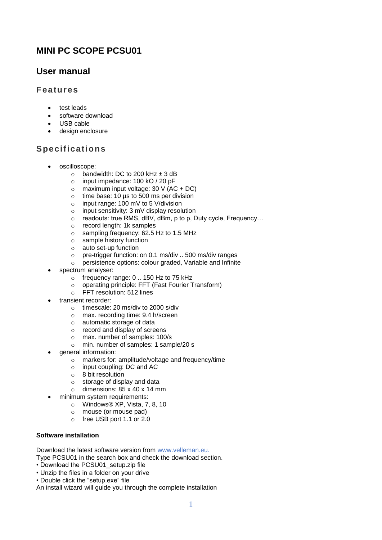# **MINI PC SCOPE PCSU01**

## **User manual**

## **Features**

- test leads
- software download
- USB cable
- design enclosure

## **Specifications**

- oscilloscope:
	- $\circ$  bandwidth: DC to 200 kHz + 3 dB
	- o input impedance: 100 kO / 20 pF
	- $\circ$  maximum input voltage: 30 V (AC + DC)
	- o time base: 10 µs to 500 ms per division
	- o input range: 100 mV to 5 V/division
	- o input sensitivity: 3 mV display resolution
	- o readouts: true RMS, dBV, dBm, p to p, Duty cycle, Frequency…
	- o record length: 1k samples
	- o sampling frequency: 62.5 Hz to 1.5 MHz
	- o sample history function
	- o auto set-up function
	- o pre-trigger function: on 0.1 ms/div .. 500 ms/div ranges
	- o persistence options: colour graded, Variable and Infinite
- spectrum analyser:
	- o frequency range: 0 .. 150 Hz to 75 kHz
	- o operating principle: FFT (Fast Fourier Transform)
	- o FFT resolution: 512 lines
- transient recorder:
	- o timescale: 20 ms/div to 2000 s/div
	- o max. recording time: 9.4 h/screen
	- o automatic storage of data
	- o record and display of screens
	- o max. number of samples: 100/s
	- o min. number of samples: 1 sample/20 s
- general information:
	- o markers for: amplitude/voltage and frequency/time
	- o input coupling: DC and AC
	- o 8 bit resolution
	- o storage of display and data
	- $\circ$  dimensions: 85 x 40 x 14 mm
- minimum system requirements:
	- o Windows® XP, Vista, 7, 8, 10
	- o mouse (or mouse pad)
	- o free USB port 1.1 or 2.0

## **Software installation**

Download the latest software version from www.velleman.eu.

Type PCSU01 in the search box and check the download section.

- Download the PCSU01\_setup.zip file
- Unzip the files in a folder on your drive
- Double click the "setup.exe" file

An install wizard will guide you through the complete installation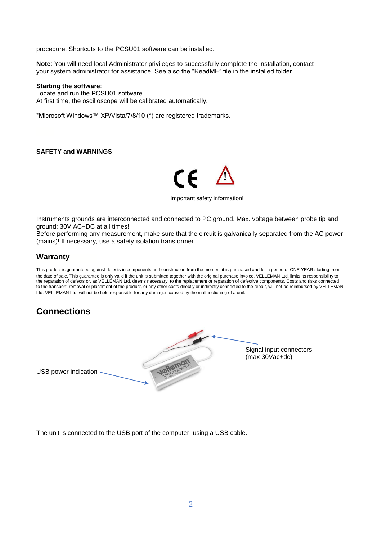procedure. Shortcuts to the PCSU01 software can be installed.

**Note**: You will need local Administrator privileges to successfully complete the installation, contact your system administrator for assistance. See also the "ReadME" file in the installed folder.

#### **Starting the software**:

Locate and run the PCSU01 software. At first time, the oscilloscope will be calibrated automatically.

\*Microsoft Windows™ XP/Vista/7/8/10 (\*) are registered trademarks.

#### **SAFETY and WARNINGS**



Important safety information!

Instruments grounds are interconnected and connected to PC ground. Max. voltage between probe tip and ground: 30V AC+DC at all times!

Before performing any measurement, make sure that the circuit is galvanically separated from the AC power (mains)! If necessary, use a safety isolation transformer.

## **Warranty**

This product is guaranteed against defects in components and construction from the moment it is purchased and for a period of ONE YEAR starting from the date of sale. This guarantee is only valid if the unit is submitted together with the original purchase invoice. VELLEMAN Ltd. limits its responsibility to the reparation of defects or, as VELLEMAN Ltd. deems necessary, to the replacement or reparation of defective components. Costs and risks connected to the transport, removal or placement of the product, or any other costs directly or indirectly connected to the repair, will not be reimbursed by VELLEMAN Ltd. VELLEMAN Ltd. will not be held responsible for any damages caused by the malfunctioning of a unit.

# **Connections**

Signal input connectors (max 30Vac+dc) USB power indication -

The unit is connected to the USB port of the computer, using a USB cable.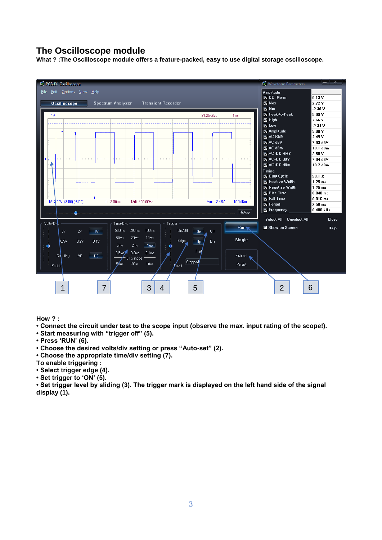# **The Oscilloscope module**

**What ? :The Oscilloscope module offers a feature-packed, easy to use digital storage oscilloscope.**



**How ? :**

**• Connect the circuit under test to the scope input (observe the max. input rating of the scope!).**

- **Start measuring with "trigger off" (5).**
- **Press "RUN" (6).**
- **Choose the desired volts/div setting or press "Auto-set" (2).**
- **Choose the appropriate time/div setting (7).**

**To enable triggering :**

- **Select trigger edge (4).**
- **Set trigger to "ON" (5).**

**• Set trigger level by sliding (3). The trigger mark is displayed on the left hand side of the signal display (1).**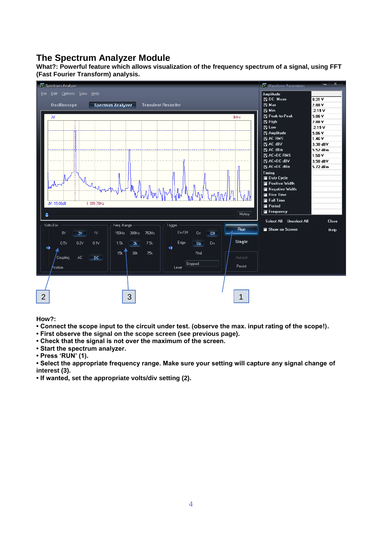## **The Spectrum Analyzer Module**

**What?: Powerful feature which allows visualization of the frequency spectrum of a signal, using FFT (Fast Fourier Transform) analysis.**



**How?:**

**• Connect the scope input to the circuit under test. (observe the max. input rating of the scope!).**

- **First observe the signal on the scope screen (see previous page).**
- **Check that the signal is not over the maximum of the screen.**
- **Start the spectrum analyzer.**
- **Press "RUN" (1).**

**• Select the appropriate frequency range. Make sure your setting will capture any signal change of interest (3).**

**• If wanted, set the appropriate volts/div setting (2).**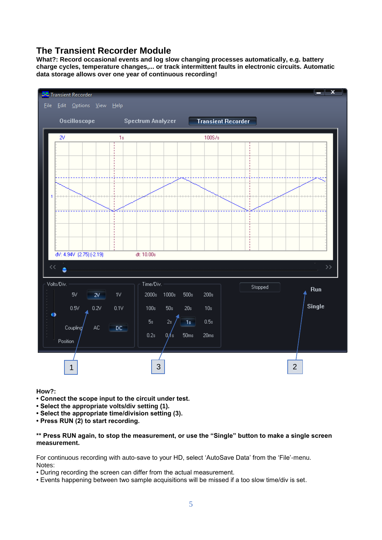# **The Transient Recorder Module**

**What?: Record occasional events and log slow changing processes automatically, e.g. battery charge cycles, temperature changes,... or track intermittent faults in electronic circuits. Automatic data storage allows over one year of continuous recording!**



**How?:**

- **Connect the scope input to the circuit under test.**
- **Select the appropriate volts/div setting (1).**
- **Select the appropriate time/division setting (3).**
- **Press RUN (2) to start recording.**

#### **\*\* Press RUN again, to stop the measurement, or use the "Single" button to make a single screen measurement.**

For continuous recording with auto-save to your HD, select "AutoSave Data" from the "File"-menu. Notes:

- During recording the screen can differ from the actual measurement.
- Events happening between two sample acquisitions will be missed if a too slow time/div is set.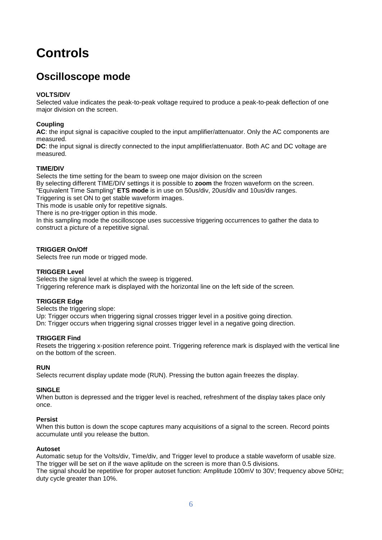# **Controls**

# **Oscilloscope mode**

## **VOLTS/DIV**

Selected value indicates the peak-to-peak voltage required to produce a peak-to-peak deflection of one major division on the screen.

## **Coupling**

**AC**: the input signal is capacitive coupled to the input amplifier/attenuator. Only the AC components are measured.

**DC**: the input signal is directly connected to the input amplifier/attenuator. Both AC and DC voltage are measured.

## **TIME/DIV**

Selects the time setting for the beam to sweep one major division on the screen

By selecting different TIME/DIV settings it is possible to **zoom** the frozen waveform on the screen. "Equivalent Time Sampling" **ETS mode** is in use on 50us/div, 20us/div and 10us/div ranges.

Triggering is set ON to get stable waveform images.

This mode is usable only for repetitive signals.

There is no pre-trigger option in this mode.

In this sampling mode the oscilloscope uses successive triggering occurrences to gather the data to construct a picture of a repetitive signal.

## **TRIGGER On/Off**

Selects free run mode or trigged mode.

## **TRIGGER Level**

Selects the signal level at which the sweep is triggered.

Triggering reference mark is displayed with the horizontal line on the left side of the screen.

## **TRIGGER Edge**

Selects the triggering slope:

Up: Trigger occurs when triggering signal crosses trigger level in a positive going direction.

Dn: Trigger occurs when triggering signal crosses trigger level in a negative going direction.

## **TRIGGER Find**

Resets the triggering x-position reference point. Triggering reference mark is displayed with the vertical line on the bottom of the screen.

## **RUN**

Selects recurrent display update mode (RUN). Pressing the button again freezes the display.

## **SINGLE**

When button is depressed and the trigger level is reached, refreshment of the display takes place only once.

## **[Persist](mk:@MSITStore:C:/Users/VEL255/Documents/e/Omat_Help_Man/PCSHM500/PCSU01DSO.chm::/persist.htm)**

When this button is down the scope captures many acquisitions of a signal to the screen. Record points accumulate until you release the button.

## **Autoset**

Automatic setup for the Volts/div, Time/div, and Trigger level to produce a stable waveform of usable size. The trigger will be set on if the wave aplitude on the screen is more than 0.5 divisions. The signal should be repetitive for proper autoset function: Amplitude 100mV to 30V; frequency above 50Hz; duty cycle greater than 10%.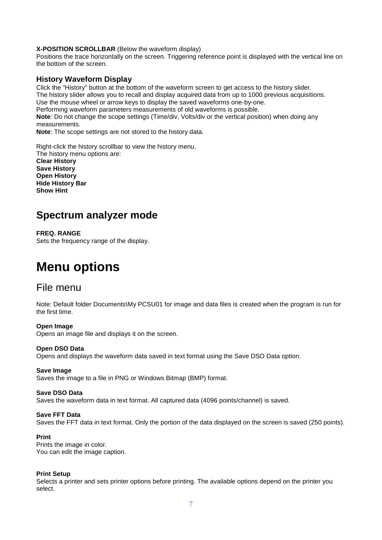**X-POSITION SCROLLBAR** (Below the waveform display)

Positions the trace horizontally on the screen. Triggering reference point is displayed with the vertical line on the bottom of the screen.

## **History Waveform Display**

Click the "History" button at the bottom of the waveform screen to get access to the history slider. The history slider allows you to recall and display acquired data from up to 1000 previous acquisitions. Use the mouse wheel or arrow keys to display the saved waveforms one-by-one. Performing waveform parameters measurements of old waveforms is possible.

**Note**: Do not change the scope settings (Time/div, Volts/div or the vertical position) when doing any measurements.

**Note**: The scope settings are not stored to the history data.

Right-click the history scrollbar to view the history menu.

The history menu options are: **Clear History Save History Open History Hide History Bar Show Hint**

# **Spectrum analyzer mode**

**FREQ. RANGE** Sets the frequency range of the display.

# **Menu options**

## File menu

Note: Default folder Documents\My PCSU01 for image and data files is created when the program is run for the first time.

#### **Open Image**

Opens an image file and displays it on the screen.

#### **Open DSO Data**

Opens and displays the waveform data saved in text format using the Save DSO Data option.

#### **Save Image**

Saves the image to a file in PNG or Windows Bitmap (BMP) format.

#### **Save DSO Data**

Saves the waveform data in text format. All captured data (4096 points/channel) is saved.

#### **Save FFT Data**

Saves the FFT data in text format. Only the portion of the data displayed on the screen is saved (250 points).

#### **Print**

Prints the image in color. You can edit the image caption.

#### **Print Setup**

Selects a printer and sets printer options before printing. The available options depend on the printer you select.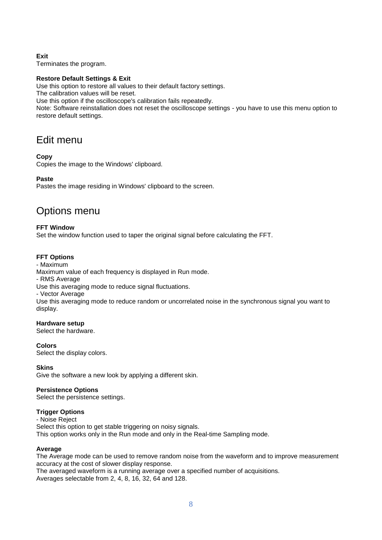## **Exit**

Terminates the program.

## **Restore Default Settings & Exit**

Use this option to restore all values to their default factory settings. The calibration values will be reset. Use this option if the oscilloscope's calibration fails repeatedly. Note: Software reinstallation does not reset the oscilloscope settings - you have to use this menu option to restore default settings.

# Edit menu

## **Copy**

Copies the image to the Windows' clipboard.

## **Paste**

Pastes the image residing in Windows' clipboard to the screen.

# Options menu

## **FFT Window**

Set the window function used to taper the original signal before calculating the FFT.

## **FFT Options**

- Maximum Maximum value of each frequency is displayed in Run mode.

- RMS Average

Use this averaging mode to reduce signal fluctuations.

- Vector Average

Use this averaging mode to reduce random or uncorrelated noise in the synchronous signal you want to display.

## **Hardware setup**

Select the hardware.

## **Colors**

Select the display colors.

## **Skins**

Give the software a new look by applying a different skin.

#### **Persistence Options**

Select the persistence settings.

## **Trigger Options**

- Noise Reject Select this option to get stable triggering on noisy signals. This option works only in the Run mode and only in the Real-time Sampling mode.

#### **Average**

The Average mode can be used to remove random noise from the waveform and to improve measurement accuracy at the cost of slower display response. The averaged waveform is a running average over a specified number of acquisitions. Averages selectable from 2, 4, 8, 16, 32, 64 and 128.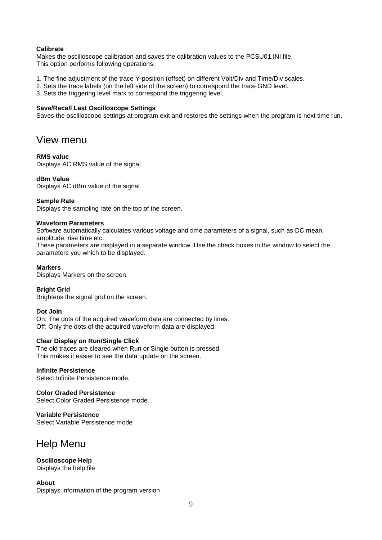#### **Calibrate**

Makes the oscilloscope calibration and saves the calibration values to the PCSU01.INI file. This option performs following operations:

- 1. The fine adjustment of the trace Y-position (offset) on different Volt/Div and Time/Div scales.
- 2. Sets the trace labels (on the left side of the screen) to correspond the trace GND level.
- 3. Sets the triggering level mark to correspond the triggering level.

#### **Save/Recall Last Oscilloscope Settings**

Saves the oscilloscope settings at program exit and restores the settings when the program is next time run.

# View menu

## **RMS value**

Displays AC RMS value of the signal

## **dBm Value**

Displays AC dBm value of the signal

#### **Sample Rate**

Displays the sampling rate on the top of the screen.

#### **Waveform Parameters**

Software automatically calculates various voltage and time parameters of a signal, such as DC mean, amplitude, rise time etc.

These parameters are displayed in a separate window. Use the check boxes in the window to select the parameters you which to be displayed.

#### **Markers**

Displays Markers on the screen.

## **Bright Grid**

Brightens the signal grid on the screen.

#### **Dot Join**

On: The dots of the acquired waveform data are connected by lines. Off: Only the dots of the acquired waveform data are displayed.

## **Clear Display on Run/Single Click**

The old traces are cleared when Run or Single button is pressed. This makes it easier to see the data update on the screen.

#### **Infinite Persistence**  Select Infinite Persistence mode.

**Color Graded Persistence**  Select Color Graded Persistence mode.

**Variable Persistence**  Select Variable Persistence mode

# Help Menu

**Oscilloscope Help**  Displays the help file

**About**  Displays information of the program version